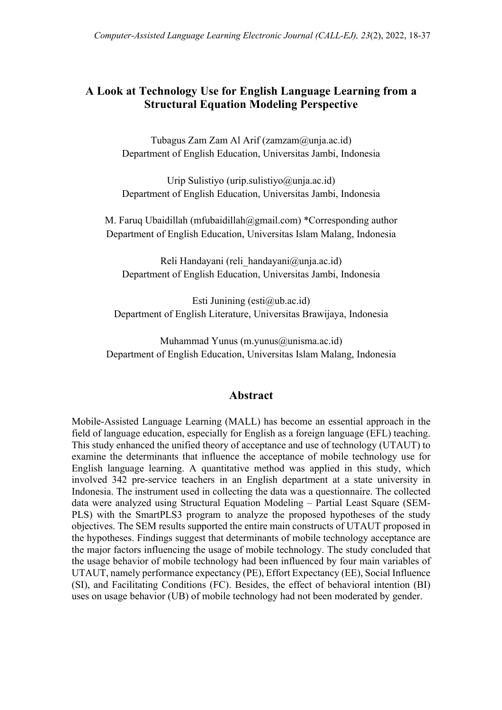# **A Look at Technology Use for English Language Learning from a Structural Equation Modeling Perspective**

Tubagus Zam Zam Al Arif (zamzam@unja.ac.id) Department of English Education, Universitas Jambi, Indonesia

Urip Sulistiyo (urip.sulistiyo@unja.ac.id) Department of English Education, Universitas Jambi, Indonesia

M. Faruq Ubaidillah (mfubaidillah@gmail.com) \*Corresponding author Department of English Education, Universitas Islam Malang, Indonesia

Reli Handayani (reli handayani@unja.ac.id) Department of English Education, Universitas Jambi, Indonesia

Esti Junining ( $esti@ub.ac.id$ ) Department of English Literature, Universitas Brawijaya, Indonesia

Muhammad Yunus (m.yunus@unisma.ac.id) Department of English Education, Universitas Islam Malang, Indonesia

### **Abstract**

Mobile-Assisted Language Learning (MALL) has become an essential approach in the field of language education, especially for English as a foreign language (EFL) teaching. This study enhanced the unified theory of acceptance and use of technology (UTAUT) to examine the determinants that influence the acceptance of mobile technology use for English language learning. A quantitative method was applied in this study, which involved 342 pre-service teachers in an English department at a state university in Indonesia. The instrument used in collecting the data was a questionnaire. The collected data were analyzed using Structural Equation Modeling – Partial Least Square (SEM-PLS) with the SmartPLS3 program to analyze the proposed hypotheses of the study objectives. The SEM results supported the entire main constructs of UTAUT proposed in the hypotheses. Findings suggest that determinants of mobile technology acceptance are the major factors influencing the usage of mobile technology. The study concluded that the usage behavior of mobile technology had been influenced by four main variables of UTAUT, namely performance expectancy (PE), Effort Expectancy (EE), Social Influence (SI), and Facilitating Conditions (FC). Besides, the effect of behavioral intention (BI) uses on usage behavior (UB) of mobile technology had not been moderated by gender.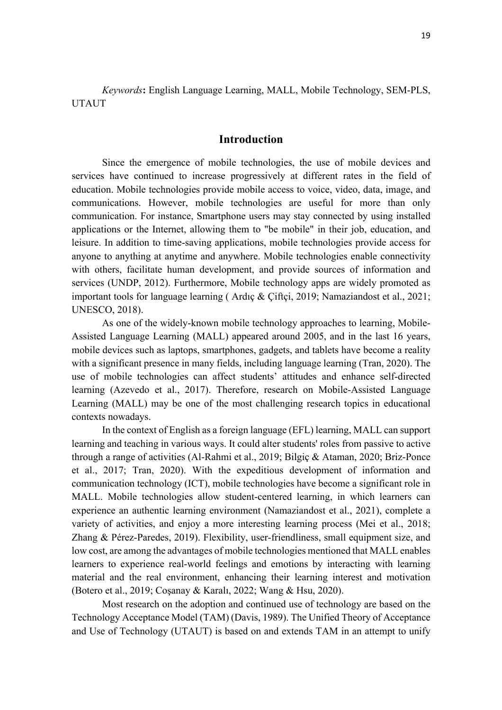*Keywords***:** English Language Learning, MALL, Mobile Technology, SEM-PLS, UTAUT

### **Introduction**

Since the emergence of mobile technologies, the use of mobile devices and services have continued to increase progressively at different rates in the field of education. Mobile technologies provide mobile access to voice, video, data, image, and communications. However, mobile technologies are useful for more than only communication. For instance, Smartphone users may stay connected by using installed applications or the Internet, allowing them to "be mobile" in their job, education, and leisure. In addition to time-saving applications, mobile technologies provide access for anyone to anything at anytime and anywhere. Mobile technologies enable connectivity with others, facilitate human development, and provide sources of information and services (UNDP, 2012). Furthermore, Mobile technology apps are widely promoted as important tools for language learning ( Ardıç & Çiftçi, 2019; Namaziandost et al., 2021; UNESCO, 2018).

As one of the widely-known mobile technology approaches to learning, Mobile-Assisted Language Learning (MALL) appeared around 2005, and in the last 16 years, mobile devices such as laptops, smartphones, gadgets, and tablets have become a reality with a significant presence in many fields, including language learning (Tran, 2020). The use of mobile technologies can affect students' attitudes and enhance self-directed learning (Azevedo et al., 2017). Therefore, research on Mobile-Assisted Language Learning (MALL) may be one of the most challenging research topics in educational contexts nowadays.

In the context of English as a foreign language (EFL) learning, MALL can support learning and teaching in various ways. It could alter students' roles from passive to active through a range of activities (Al-Rahmi et al., 2019; Bilgiç & Ataman, 2020; Briz-Ponce et al., 2017; Tran, 2020). With the expeditious development of information and communication technology (ICT), mobile technologies have become a significant role in MALL. Mobile technologies allow student-centered learning, in which learners can experience an authentic learning environment (Namaziandost et al., 2021), complete a variety of activities, and enjoy a more interesting learning process (Mei et al., 2018; Zhang & Pérez-Paredes, 2019). Flexibility, user-friendliness, small equipment size, and low cost, are among the advantages of mobile technologies mentioned that MALL enables learners to experience real-world feelings and emotions by interacting with learning material and the real environment, enhancing their learning interest and motivation (Botero et al., 2019; Coşanay & Karalı, 2022; Wang & Hsu, 2020).

Most research on the adoption and continued use of technology are based on the Technology Acceptance Model (TAM) (Davis, 1989). The Unified Theory of Acceptance and Use of Technology (UTAUT) is based on and extends TAM in an attempt to unify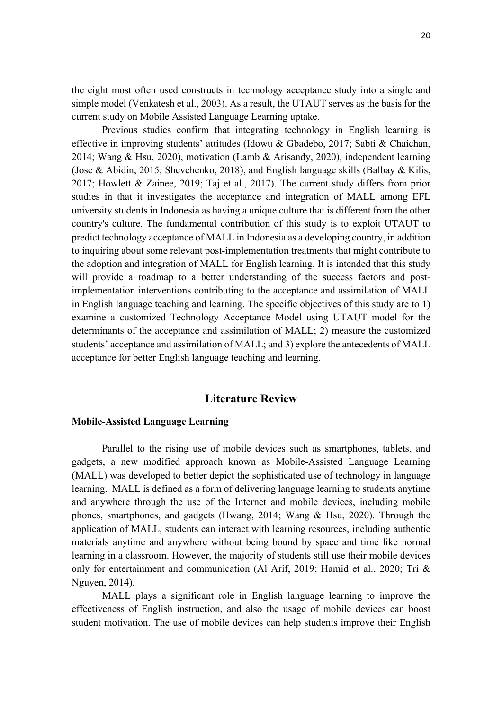the eight most often used constructs in technology acceptance study into a single and simple model (Venkatesh et al., 2003). As a result, the UTAUT serves as the basis for the current study on Mobile Assisted Language Learning uptake.

Previous studies confirm that integrating technology in English learning is effective in improving students' attitudes (Idowu & Gbadebo, 2017; Sabti & Chaichan, 2014; Wang & Hsu, 2020), motivation (Lamb & Arisandy, 2020), independent learning (Jose & Abidin, 2015; Shevchenko, 2018), and English language skills (Balbay & Kilis, 2017; Howlett & Zainee, 2019; Taj et al., 2017). The current study differs from prior studies in that it investigates the acceptance and integration of MALL among EFL university students in Indonesia as having a unique culture that is different from the other country's culture. The fundamental contribution of this study is to exploit UTAUT to predict technology acceptance of MALL in Indonesia as a developing country, in addition to inquiring about some relevant post-implementation treatments that might contribute to the adoption and integration of MALL for English learning. It is intended that this study will provide a roadmap to a better understanding of the success factors and postimplementation interventions contributing to the acceptance and assimilation of MALL in English language teaching and learning. The specific objectives of this study are to 1) examine a customized Technology Acceptance Model using UTAUT model for the determinants of the acceptance and assimilation of MALL; 2) measure the customized students' acceptance and assimilation of MALL; and 3) explore the antecedents of MALL acceptance for better English language teaching and learning.

### **Literature Review**

### **Mobile-Assisted Language Learning**

Parallel to the rising use of mobile devices such as smartphones, tablets, and gadgets, a new modified approach known as Mobile-Assisted Language Learning (MALL) was developed to better depict the sophisticated use of technology in language learning. MALL is defined as a form of delivering language learning to students anytime and anywhere through the use of the Internet and mobile devices, including mobile phones, smartphones, and gadgets (Hwang, 2014; Wang & Hsu, 2020). Through the application of MALL, students can interact with learning resources, including authentic materials anytime and anywhere without being bound by space and time like normal learning in a classroom. However, the majority of students still use their mobile devices only for entertainment and communication (Al Arif, 2019; Hamid et al., 2020; Tri & Nguyen, 2014).

MALL plays a significant role in English language learning to improve the effectiveness of English instruction, and also the usage of mobile devices can boost student motivation. The use of mobile devices can help students improve their English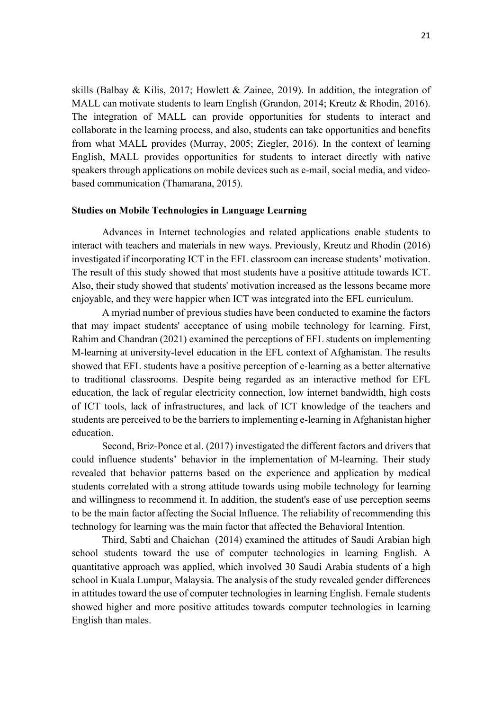skills (Balbay & Kilis, 2017; Howlett & Zainee, 2019). In addition, the integration of MALL can motivate students to learn English (Grandon, 2014; Kreutz & Rhodin, 2016). The integration of MALL can provide opportunities for students to interact and collaborate in the learning process, and also, students can take opportunities and benefits from what MALL provides (Murray, 2005; Ziegler, 2016). In the context of learning English, MALL provides opportunities for students to interact directly with native speakers through applications on mobile devices such as e-mail, social media, and videobased communication (Thamarana, 2015).

#### **Studies on Mobile Technologies in Language Learning**

Advances in Internet technologies and related applications enable students to interact with teachers and materials in new ways. Previously, Kreutz and Rhodin (2016) investigated if incorporating ICT in the EFL classroom can increase students' motivation. The result of this study showed that most students have a positive attitude towards ICT. Also, their study showed that students' motivation increased as the lessons became more enjoyable, and they were happier when ICT was integrated into the EFL curriculum.

A myriad number of previous studies have been conducted to examine the factors that may impact students' acceptance of using mobile technology for learning. First, Rahim and Chandran (2021) examined the perceptions of EFL students on implementing M-learning at university-level education in the EFL context of Afghanistan. The results showed that EFL students have a positive perception of e-learning as a better alternative to traditional classrooms. Despite being regarded as an interactive method for EFL education, the lack of regular electricity connection, low internet bandwidth, high costs of ICT tools, lack of infrastructures, and lack of ICT knowledge of the teachers and students are perceived to be the barriers to implementing e-learning in Afghanistan higher education.

Second, Briz-Ponce et al. (2017) investigated the different factors and drivers that could influence students' behavior in the implementation of M-learning. Their study revealed that behavior patterns based on the experience and application by medical students correlated with a strong attitude towards using mobile technology for learning and willingness to recommend it. In addition, the student's ease of use perception seems to be the main factor affecting the Social Influence. The reliability of recommending this technology for learning was the main factor that affected the Behavioral Intention.

Third, Sabti and Chaichan (2014) examined the attitudes of Saudi Arabian high school students toward the use of computer technologies in learning English. A quantitative approach was applied, which involved 30 Saudi Arabia students of a high school in Kuala Lumpur, Malaysia. The analysis of the study revealed gender differences in attitudes toward the use of computer technologies in learning English. Female students showed higher and more positive attitudes towards computer technologies in learning English than males.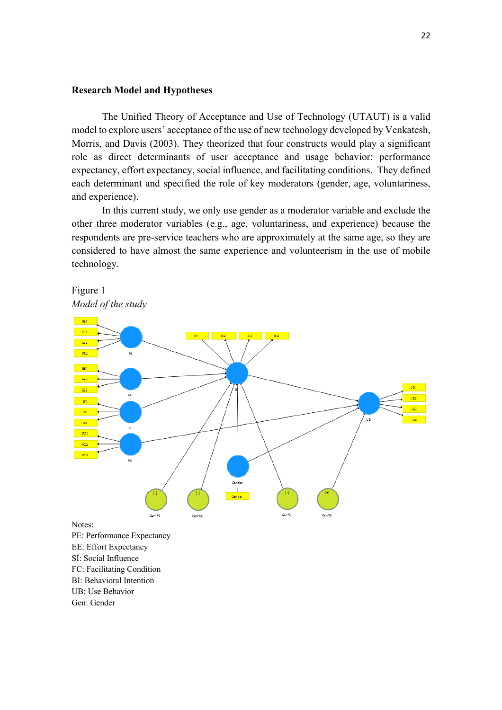#### **Research Model and Hypotheses**

The Unified Theory of Acceptance and Use of Technology (UTAUT) is a valid model to explore users' acceptance of the use of new technology developed by Venkatesh, Morris, and Davis (2003). They theorized that four constructs would play a significant role as direct determinants of user acceptance and usage behavior: performance expectancy, effort expectancy, social influence, and facilitating conditions. They defined each determinant and specified the role of key moderators (gender, age, voluntariness, and experience).

In this current study, we only use gender as a moderator variable and exclude the other three moderator variables (e.g., age, voluntariness, and experience) because the respondents are pre-service teachers who are approximately at the same age, so they are considered to have almost the same experience and volunteerism in the use of mobile technology.



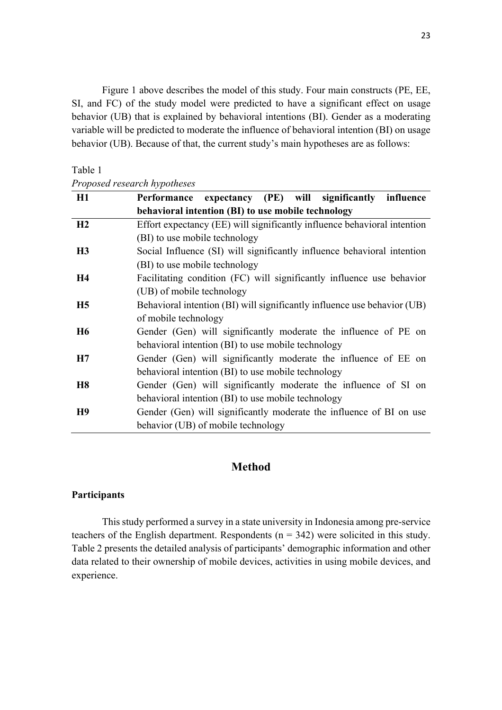Figure 1 above describes the model of this study. Four main constructs (PE, EE, SI, and FC) of the study model were predicted to have a significant effect on usage behavior (UB) that is explained by behavioral intentions (BI). Gender as a moderating variable will be predicted to moderate the influence of behavioral intention (BI) on usage behavior (UB). Because of that, the current study's main hypotheses are as follows:

#### Table 1

# *Proposed research hypotheses*

| H1             | expectancy (PE) will significantly influence<br>Performance              |  |  |  |  |  |  |  |
|----------------|--------------------------------------------------------------------------|--|--|--|--|--|--|--|
|                | behavioral intention (BI) to use mobile technology                       |  |  |  |  |  |  |  |
| H2             | Effort expectancy (EE) will significantly influence behavioral intention |  |  |  |  |  |  |  |
|                | (BI) to use mobile technology                                            |  |  |  |  |  |  |  |
| H <sub>3</sub> | Social Influence (SI) will significantly influence behavioral intention  |  |  |  |  |  |  |  |
|                | (BI) to use mobile technology                                            |  |  |  |  |  |  |  |
| <b>H4</b>      | Facilitating condition (FC) will significantly influence use behavior    |  |  |  |  |  |  |  |
|                | (UB) of mobile technology                                                |  |  |  |  |  |  |  |
| H <sub>5</sub> | Behavioral intention (BI) will significantly influence use behavior (UB) |  |  |  |  |  |  |  |
|                | of mobile technology                                                     |  |  |  |  |  |  |  |
| <b>H6</b>      | Gender (Gen) will significantly moderate the influence of PE on          |  |  |  |  |  |  |  |
|                | behavioral intention (BI) to use mobile technology                       |  |  |  |  |  |  |  |
| H7             | Gender (Gen) will significantly moderate the influence of EE on          |  |  |  |  |  |  |  |
|                | behavioral intention (BI) to use mobile technology                       |  |  |  |  |  |  |  |
| <b>H8</b>      | Gender (Gen) will significantly moderate the influence of SI on          |  |  |  |  |  |  |  |
|                | behavioral intention (BI) to use mobile technology                       |  |  |  |  |  |  |  |
| H <sub>9</sub> | Gender (Gen) will significantly moderate the influence of BI on use      |  |  |  |  |  |  |  |
|                | behavior (UB) of mobile technology                                       |  |  |  |  |  |  |  |

# **Method**

## **Participants**

This study performed a survey in a state university in Indonesia among pre-service teachers of the English department. Respondents  $(n = 342)$  were solicited in this study. Table 2 presents the detailed analysis of participants' demographic information and other data related to their ownership of mobile devices, activities in using mobile devices, and experience.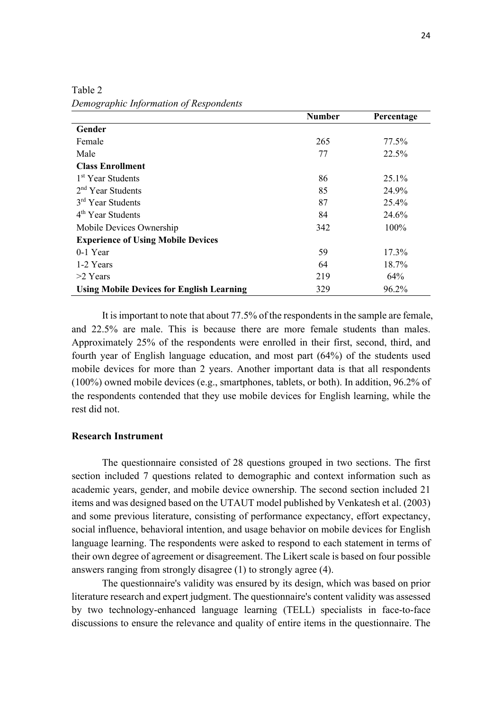|                                                  | <b>Number</b> | Percentage |
|--------------------------------------------------|---------------|------------|
| Gender                                           |               |            |
| Female                                           | 265           | 77.5%      |
| Male                                             | 77            | 22.5%      |
| <b>Class Enrollment</b>                          |               |            |
| 1 <sup>st</sup> Year Students                    | 86            | 25.1%      |
| $2nd$ Year Students                              | 85            | 24.9%      |
| 3 <sup>rd</sup> Year Students                    | 87            | 25.4%      |
| $4th$ Year Students                              | 84            | 24.6%      |
| Mobile Devices Ownership                         | 342           | 100%       |
| <b>Experience of Using Mobile Devices</b>        |               |            |
| $0-1$ Year                                       | 59            | 17.3%      |
| 1-2 Years                                        | 64            | 18.7%      |
| $>2$ Years                                       | 219           | 64%        |
| <b>Using Mobile Devices for English Learning</b> | 329           | 96.2%      |

Table 2 *Demographic Information of Respondents*

It is important to note that about 77.5% of the respondents in the sample are female, and 22.5% are male. This is because there are more female students than males. Approximately 25% of the respondents were enrolled in their first, second, third, and fourth year of English language education, and most part (64%) of the students used mobile devices for more than 2 years. Another important data is that all respondents (100%) owned mobile devices (e.g., smartphones, tablets, or both). In addition, 96.2% of the respondents contended that they use mobile devices for English learning, while the rest did not.

#### **Research Instrument**

The questionnaire consisted of 28 questions grouped in two sections. The first section included 7 questions related to demographic and context information such as academic years, gender, and mobile device ownership. The second section included 21 items and was designed based on the UTAUT model published by Venkatesh et al. (2003) and some previous literature, consisting of performance expectancy, effort expectancy, social influence, behavioral intention, and usage behavior on mobile devices for English language learning. The respondents were asked to respond to each statement in terms of their own degree of agreement or disagreement. The Likert scale is based on four possible answers ranging from strongly disagree (1) to strongly agree (4).

The questionnaire's validity was ensured by its design, which was based on prior literature research and expert judgment. The questionnaire's content validity was assessed by two technology-enhanced language learning (TELL) specialists in face-to-face discussions to ensure the relevance and quality of entire items in the questionnaire. The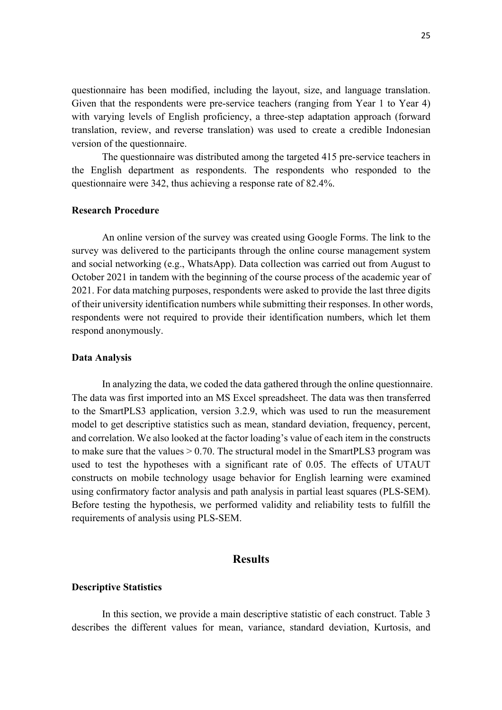questionnaire has been modified, including the layout, size, and language translation. Given that the respondents were pre-service teachers (ranging from Year 1 to Year 4) with varying levels of English proficiency, a three-step adaptation approach (forward translation, review, and reverse translation) was used to create a credible Indonesian version of the questionnaire.

The questionnaire was distributed among the targeted 415 pre-service teachers in the English department as respondents. The respondents who responded to the questionnaire were 342, thus achieving a response rate of 82.4%.

### **Research Procedure**

An online version of the survey was created using Google Forms. The link to the survey was delivered to the participants through the online course management system and social networking (e.g., WhatsApp). Data collection was carried out from August to October 2021 in tandem with the beginning of the course process of the academic year of 2021. For data matching purposes, respondents were asked to provide the last three digits of their university identification numbers while submitting their responses. In other words, respondents were not required to provide their identification numbers, which let them respond anonymously.

#### **Data Analysis**

In analyzing the data, we coded the data gathered through the online questionnaire. The data was first imported into an MS Excel spreadsheet. The data was then transferred to the SmartPLS3 application, version 3.2.9, which was used to run the measurement model to get descriptive statistics such as mean, standard deviation, frequency, percent, and correlation. We also looked at the factor loading's value of each item in the constructs to make sure that the values  $> 0.70$ . The structural model in the SmartPLS3 program was used to test the hypotheses with a significant rate of 0.05. The effects of UTAUT constructs on mobile technology usage behavior for English learning were examined using confirmatory factor analysis and path analysis in partial least squares (PLS-SEM). Before testing the hypothesis, we performed validity and reliability tests to fulfill the requirements of analysis using PLS-SEM.

# **Results**

#### **Descriptive Statistics**

In this section, we provide a main descriptive statistic of each construct. Table 3 describes the different values for mean, variance, standard deviation, Kurtosis, and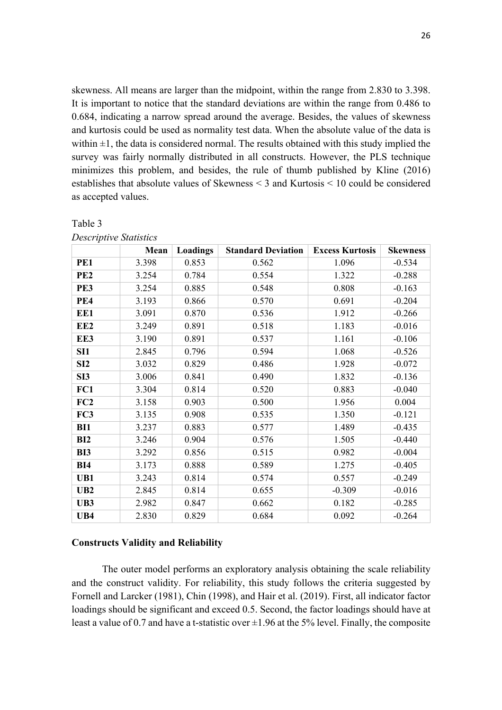skewness. All means are larger than the midpoint, within the range from 2.830 to 3.398. It is important to notice that the standard deviations are within the range from 0.486 to 0.684, indicating a narrow spread around the average. Besides, the values of skewness and kurtosis could be used as normality test data. When the absolute value of the data is within  $\pm 1$ , the data is considered normal. The results obtained with this study implied the survey was fairly normally distributed in all constructs. However, the PLS technique minimizes this problem, and besides, the rule of thumb published by Kline (2016) establishes that absolute values of Skewness < 3 and Kurtosis < 10 could be considered as accepted values.

|                 | Mean  | Loadings | <b>Standard Deviation</b> | <b>Excess Kurtosis</b> | <b>Skewness</b> |
|-----------------|-------|----------|---------------------------|------------------------|-----------------|
| PE1             | 3.398 | 0.853    | 0.562                     | 1.096                  | $-0.534$        |
| PE <sub>2</sub> | 3.254 | 0.784    | 0.554                     | 1.322                  | $-0.288$        |
| PE3             | 3.254 | 0.885    | 0.548                     | 0.808                  | $-0.163$        |
| PE4             | 3.193 | 0.866    | 0.570                     | 0.691                  | $-0.204$        |
| EE1             | 3.091 | 0.870    | 0.536                     | 1.912                  | $-0.266$        |
| EE <sub>2</sub> | 3.249 | 0.891    | 0.518                     | 1.183                  | $-0.016$        |
| EE3             | 3.190 | 0.891    | 0.537                     | 1.161                  | $-0.106$        |
| SI1             | 2.845 | 0.796    | 0.594                     | 1.068                  | $-0.526$        |
| SI2             | 3.032 | 0.829    | 0.486                     | 1.928                  | $-0.072$        |
| SI <sub>3</sub> | 3.006 | 0.841    | 0.490                     | 1.832                  | $-0.136$        |
| FC1             | 3.304 | 0.814    | 0.520                     | 0.883                  | $-0.040$        |
| FC2             | 3.158 | 0.903    | 0.500                     | 1.956                  | 0.004           |
| FC3             | 3.135 | 0.908    | 0.535                     | 1.350                  | $-0.121$        |
| BI1             | 3.237 | 0.883    | 0.577                     | 1.489                  | $-0.435$        |
| BI2             | 3.246 | 0.904    | 0.576                     | 1.505                  | $-0.440$        |
| <b>BI3</b>      | 3.292 | 0.856    | 0.515                     | 0.982                  | $-0.004$        |
| BI4             | 3.173 | 0.888    | 0.589                     | 1.275                  | $-0.405$        |
| UB1             | 3.243 | 0.814    | 0.574                     | 0.557                  | $-0.249$        |
| UB2             | 2.845 | 0.814    | 0.655                     | $-0.309$               | $-0.016$        |
| UB3             | 2.982 | 0.847    | 0.662                     | 0.182                  | $-0.285$        |
| UB4             | 2.830 | 0.829    | 0.684                     | 0.092                  | $-0.264$        |

|  | Table |  |  |
|--|-------|--|--|
|--|-------|--|--|

|  | Descriptive Statistics |
|--|------------------------|
|  |                        |

### **Constructs Validity and Reliability**

The outer model performs an exploratory analysis obtaining the scale reliability and the construct validity. For reliability, this study follows the criteria suggested by Fornell and Larcker (1981), Chin (1998), and Hair et al. (2019). First, all indicator factor loadings should be significant and exceed 0.5. Second, the factor loadings should have at least a value of 0.7 and have a t-statistic over  $\pm 1.96$  at the 5% level. Finally, the composite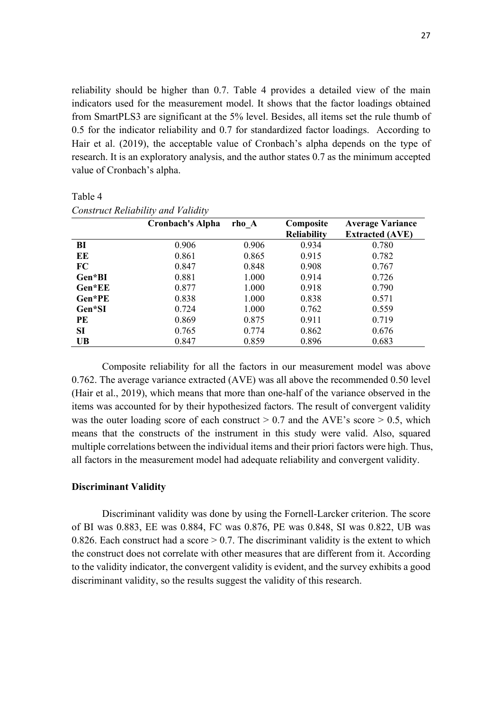reliability should be higher than 0.7. Table 4 provides a detailed view of the main indicators used for the measurement model. It shows that the factor loadings obtained from SmartPLS3 are significant at the 5% level. Besides, all items set the rule thumb of 0.5 for the indicator reliability and 0.7 for standardized factor loadings. According to Hair et al. (2019), the acceptable value of Cronbach's alpha depends on the type of research. It is an exploratory analysis, and the author states 0.7 as the minimum accepted value of Cronbach's alpha.

|           | ╯<br><b>Cronbach's Alpha</b> | rho A | Composite<br><b>Reliability</b> | <b>Average Variance</b><br><b>Extracted (AVE)</b> |
|-----------|------------------------------|-------|---------------------------------|---------------------------------------------------|
| BI        | 0.906                        | 0.906 | 0.934                           | 0.780                                             |
| EE        | 0.861                        | 0.865 | 0.915                           | 0.782                                             |
| FC        | 0.847                        | 0.848 | 0.908                           | 0.767                                             |
| Gen*BI    | 0.881                        | 1.000 | 0.914                           | 0.726                                             |
| Gen*EE    | 0.877                        | 1.000 | 0.918                           | 0.790                                             |
| Gen*PE    | 0.838                        | 1.000 | 0.838                           | 0.571                                             |
| Gen*SI    | 0.724                        | 1.000 | 0.762                           | 0.559                                             |
| PE        | 0.869                        | 0.875 | 0.911                           | 0.719                                             |
| <b>SI</b> | 0.765                        | 0.774 | 0.862                           | 0.676                                             |
| <b>UB</b> | 0.847                        | 0.859 | 0.896                           | 0.683                                             |

Table 4 *Construct Reliability and Validity*

Composite reliability for all the factors in our measurement model was above 0.762. The average variance extracted (AVE) was all above the recommended 0.50 level (Hair et al., 2019), which means that more than one-half of the variance observed in the items was accounted for by their hypothesized factors. The result of convergent validity was the outer loading score of each construct  $> 0.7$  and the AVE's score  $> 0.5$ , which means that the constructs of the instrument in this study were valid. Also, squared multiple correlations between the individual items and their priori factors were high. Thus, all factors in the measurement model had adequate reliability and convergent validity.

### **Discriminant Validity**

Discriminant validity was done by using the Fornell-Larcker criterion. The score of BI was 0.883, EE was 0.884, FC was 0.876, PE was 0.848, SI was 0.822, UB was 0.826. Each construct had a score  $> 0.7$ . The discriminant validity is the extent to which the construct does not correlate with other measures that are different from it. According to the validity indicator, the convergent validity is evident, and the survey exhibits a good discriminant validity, so the results suggest the validity of this research.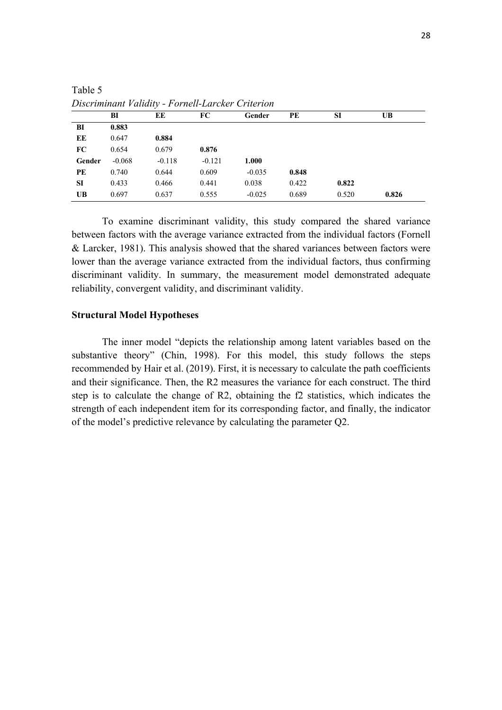|           | BI       | EE       | FC       | Gender   | PE    | SI    | UВ    |
|-----------|----------|----------|----------|----------|-------|-------|-------|
| BI        | 0.883    |          |          |          |       |       |       |
| EE        | 0.647    | 0.884    |          |          |       |       |       |
| FC        | 0.654    | 0.679    | 0.876    |          |       |       |       |
| Gender    | $-0.068$ | $-0.118$ | $-0.121$ | 1.000    |       |       |       |
| PE        | 0.740    | 0.644    | 0.609    | $-0.035$ | 0.848 |       |       |
| <b>SI</b> | 0.433    | 0.466    | 0.441    | 0.038    | 0.422 | 0.822 |       |
| <b>UB</b> | 0.697    | 0.637    | 0.555    | $-0.025$ | 0.689 | 0.520 | 0.826 |

Table 5 *Discriminant Validity - Fornell-Larcker Criterion*

To examine discriminant validity, this study compared the shared variance between factors with the average variance extracted from the individual factors (Fornell & Larcker, 1981). This analysis showed that the shared variances between factors were lower than the average variance extracted from the individual factors, thus confirming discriminant validity. In summary, the measurement model demonstrated adequate reliability, convergent validity, and discriminant validity.

### **Structural Model Hypotheses**

The inner model "depicts the relationship among latent variables based on the substantive theory" (Chin, 1998). For this model, this study follows the steps recommended by Hair et al. (2019). First, it is necessary to calculate the path coefficients and their significance. Then, the R2 measures the variance for each construct. The third step is to calculate the change of R2, obtaining the f2 statistics, which indicates the strength of each independent item for its corresponding factor, and finally, the indicator of the model's predictive relevance by calculating the parameter Q2.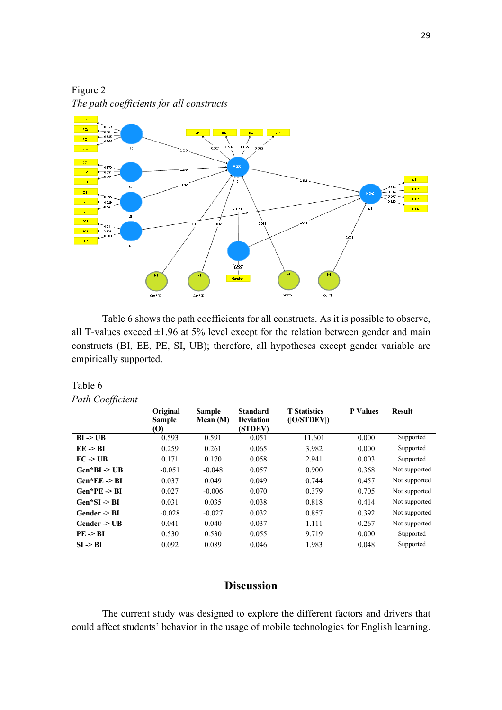Figure 2 *The path coefficients for all constructs*



Table 6 shows the path coefficients for all constructs. As it is possible to observe, all T-values exceed  $\pm 1.96$  at 5% level except for the relation between gender and main constructs (BI, EE, PE, SI, UB); therefore, all hypotheses except gender variable are empirically supported.

# Table 6 *Path Coefficient*

|                         | Original<br><b>Sample</b> | <b>Sample</b><br>Mean $(M)$ | <b>Standard</b><br><b>Deviation</b> | <b>T</b> Statistics<br>( O/STDEV ) | <b>P</b> Values | <b>Result</b> |
|-------------------------|---------------------------|-----------------------------|-------------------------------------|------------------------------------|-----------------|---------------|
|                         | (O)                       |                             | (STDEV)                             |                                    |                 |               |
| $BI \rightarrow UB$     | 0.593                     | 0.591                       | 0.051                               | 11.601                             | 0.000           | Supported     |
| $EE \rightarrow BI$     | 0.259                     | 0.261                       | 0.065                               | 3.982                              | 0.000           | Supported     |
| $FC \rightarrow UB$     | 0.171                     | 0.170                       | 0.058                               | 2.941                              | 0.003           | Supported     |
| $Gen*BI \geq UB$        | $-0.051$                  | $-0.048$                    | 0.057                               | 0.900                              | 0.368           | Not supported |
| $Gen*EE \rightarrow BI$ | 0.037                     | 0.049                       | 0.049                               | 0.744                              | 0.457           | Not supported |
| $Gen*PE \rightarrow BI$ | 0.027                     | $-0.006$                    | 0.070                               | 0.379                              | 0.705           | Not supported |
| $Gen*SI \rightarrow BI$ | 0.031                     | 0.035                       | 0.038                               | 0.818                              | 0.414           | Not supported |
| Gender -> BI            | $-0.028$                  | $-0.027$                    | 0.032                               | 0.857                              | 0.392           | Not supported |
| Gender $\rightarrow$ UB | 0.041                     | 0.040                       | 0.037                               | 1.111                              | 0.267           | Not supported |
| $PE \rightarrow BI$     | 0.530                     | 0.530                       | 0.055                               | 9.719                              | 0.000           | Supported     |
| $SI \rightarrow BI$     | 0.092                     | 0.089                       | 0.046                               | 1.983                              | 0.048           | Supported     |

# **Discussion**

The current study was designed to explore the different factors and drivers that could affect students' behavior in the usage of mobile technologies for English learning.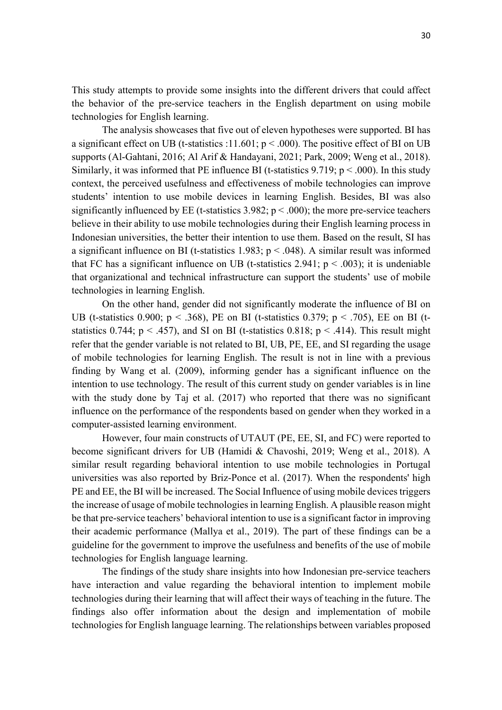This study attempts to provide some insights into the different drivers that could affect the behavior of the pre-service teachers in the English department on using mobile technologies for English learning.

The analysis showcases that five out of eleven hypotheses were supported. BI has a significant effect on UB (t-statistics :11.601;  $p < .000$ ). The positive effect of BI on UB supports (Al-Gahtani, 2016; Al Arif & Handayani, 2021; Park, 2009; Weng et al., 2018). Similarly, it was informed that PE influence BI (t-statistics  $9.719$ ; p < .000). In this study context, the perceived usefulness and effectiveness of mobile technologies can improve students' intention to use mobile devices in learning English. Besides, BI was also significantly influenced by EE (t-statistics  $3.982$ ;  $p < .000$ ); the more pre-service teachers believe in their ability to use mobile technologies during their English learning process in Indonesian universities, the better their intention to use them. Based on the result, SI has a significant influence on BI (t-statistics 1.983;  $p < .048$ ). A similar result was informed that FC has a significant influence on UB (t-statistics 2.941;  $p < .003$ ); it is undeniable that organizational and technical infrastructure can support the students' use of mobile technologies in learning English.

On the other hand, gender did not significantly moderate the influence of BI on UB (t-statistics 0.900;  $p < .368$ ), PE on BI (t-statistics 0.379;  $p < .705$ ), EE on BI (tstatistics 0.744;  $p < .457$ ), and SI on BI (t-statistics 0.818;  $p < .414$ ). This result might refer that the gender variable is not related to BI, UB, PE, EE, and SI regarding the usage of mobile technologies for learning English. The result is not in line with a previous finding by Wang et al. (2009), informing gender has a significant influence on the intention to use technology. The result of this current study on gender variables is in line with the study done by Taj et al. (2017) who reported that there was no significant influence on the performance of the respondents based on gender when they worked in a computer-assisted learning environment.

However, four main constructs of UTAUT (PE, EE, SI, and FC) were reported to become significant drivers for UB (Hamidi & Chavoshi, 2019; Weng et al., 2018). A similar result regarding behavioral intention to use mobile technologies in Portugal universities was also reported by Briz-Ponce et al. (2017). When the respondents' high PE and EE, the BI will be increased. The Social Influence of using mobile devices triggers the increase of usage of mobile technologies in learning English. A plausible reason might be that pre-service teachers' behavioral intention to use is a significant factor in improving their academic performance (Mallya et al., 2019). The part of these findings can be a guideline for the government to improve the usefulness and benefits of the use of mobile technologies for English language learning.

The findings of the study share insights into how Indonesian pre-service teachers have interaction and value regarding the behavioral intention to implement mobile technologies during their learning that will affect their ways of teaching in the future. The findings also offer information about the design and implementation of mobile technologies for English language learning. The relationships between variables proposed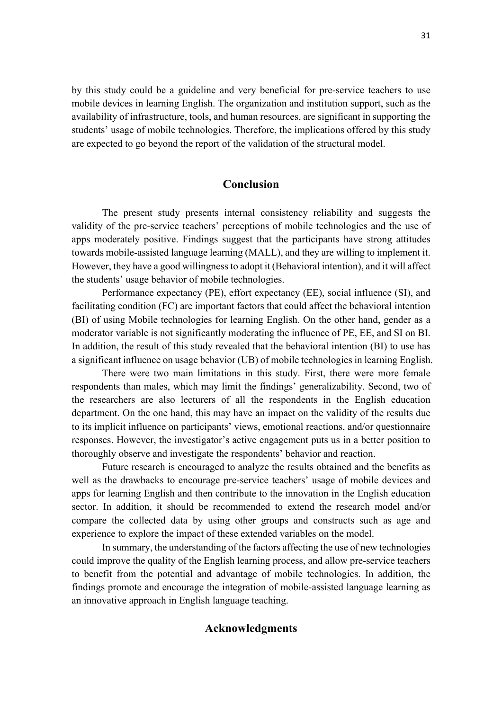by this study could be a guideline and very beneficial for pre-service teachers to use mobile devices in learning English. The organization and institution support, such as the availability of infrastructure, tools, and human resources, are significant in supporting the students' usage of mobile technologies. Therefore, the implications offered by this study are expected to go beyond the report of the validation of the structural model.

## **Conclusion**

The present study presents internal consistency reliability and suggests the validity of the pre-service teachers' perceptions of mobile technologies and the use of apps moderately positive. Findings suggest that the participants have strong attitudes towards mobile-assisted language learning (MALL), and they are willing to implement it. However, they have a good willingness to adopt it (Behavioral intention), and it will affect the students' usage behavior of mobile technologies.

Performance expectancy (PE), effort expectancy (EE), social influence (SI), and facilitating condition (FC) are important factors that could affect the behavioral intention (BI) of using Mobile technologies for learning English. On the other hand, gender as a moderator variable is not significantly moderating the influence of PE, EE, and SI on BI. In addition, the result of this study revealed that the behavioral intention (BI) to use has a significant influence on usage behavior (UB) of mobile technologies in learning English.

There were two main limitations in this study. First, there were more female respondents than males, which may limit the findings' generalizability. Second, two of the researchers are also lecturers of all the respondents in the English education department. On the one hand, this may have an impact on the validity of the results due to its implicit influence on participants' views, emotional reactions, and/or questionnaire responses. However, the investigator's active engagement puts us in a better position to thoroughly observe and investigate the respondents' behavior and reaction.

Future research is encouraged to analyze the results obtained and the benefits as well as the drawbacks to encourage pre-service teachers' usage of mobile devices and apps for learning English and then contribute to the innovation in the English education sector. In addition, it should be recommended to extend the research model and/or compare the collected data by using other groups and constructs such as age and experience to explore the impact of these extended variables on the model.

In summary, the understanding of the factors affecting the use of new technologies could improve the quality of the English learning process, and allow pre-service teachers to benefit from the potential and advantage of mobile technologies. In addition, the findings promote and encourage the integration of mobile-assisted language learning as an innovative approach in English language teaching.

## **Acknowledgments**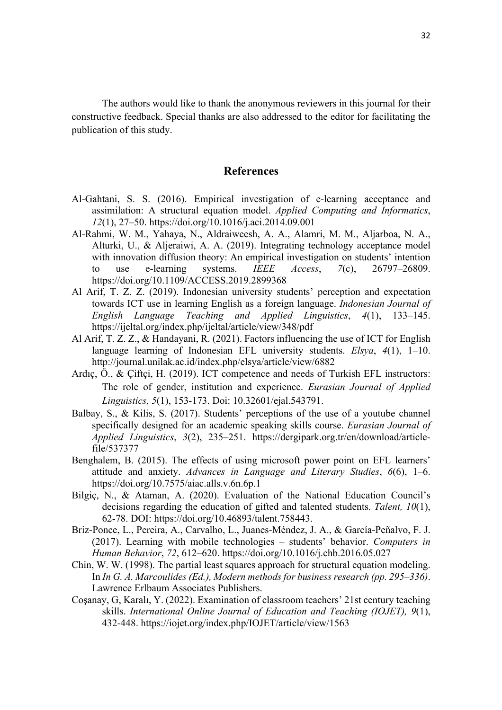The authors would like to thank the anonymous reviewers in this journal for their constructive feedback. Special thanks are also addressed to the editor for facilitating the publication of this study.

# **References**

- Al-Gahtani, S. S. (2016). Empirical investigation of e-learning acceptance and assimilation: A structural equation model. *Applied Computing and Informatics*, *12*(1), 27–50. https://doi.org/10.1016/j.aci.2014.09.001
- Al-Rahmi, W. M., Yahaya, N., Aldraiweesh, A. A., Alamri, M. M., Aljarboa, N. A., Alturki, U., & Aljeraiwi, A. A. (2019). Integrating technology acceptance model with innovation diffusion theory: An empirical investigation on students' intention to use e-learning systems. *IEEE Access*, *7*(c), 26797–26809. https://doi.org/10.1109/ACCESS.2019.2899368
- Al Arif, T. Z. Z. (2019). Indonesian university students' perception and expectation towards ICT use in learning English as a foreign language. *Indonesian Journal of English Language Teaching and Applied Linguistics*, *4*(1), 133–145. https://ijeltal.org/index.php/ijeltal/article/view/348/pdf
- Al Arif, T. Z. Z., & Handayani, R. (2021). Factors influencing the use of ICT for English language learning of Indonesian EFL university students. *Elsya*, *4*(1), 1–10. http://journal.unilak.ac.id/index.php/elsya/article/view/6882
- Ardıç, Ö., & Çiftçi, H. (2019). ICT competence and needs of Turkish EFL instructors: The role of gender, institution and experience. *Eurasian Journal of Applied Linguistics, 5*(1), 153-173. Doi: 10.32601/ejal.543791.
- Balbay, S., & Kilis, S. (2017). Students' perceptions of the use of a youtube channel specifically designed for an academic speaking skills course. *Eurasian Journal of Applied Linguistics*, *3*(2), 235–251. https://dergipark.org.tr/en/download/articlefile/537377
- Benghalem, B. (2015). The effects of using microsoft power point on EFL learners' attitude and anxiety. *Advances in Language and Literary Studies*, *6*(6), 1–6. https://doi.org/10.7575/aiac.alls.v.6n.6p.1
- Bilgiç, N., & Ataman, A. (2020). Evaluation of the National Education Council's decisions regarding the education of gifted and talented students. *Talent, 10*(1), 62-78. DOI: https://doi.org/10.46893/talent.758443.
- Briz-Ponce, L., Pereira, A., Carvalho, L., Juanes-Méndez, J. A., & García-Peñalvo, F. J. (2017). Learning with mobile technologies – students' behavior. *Computers in Human Behavior*, *72*, 612–620. https://doi.org/10.1016/j.chb.2016.05.027
- Chin, W. W. (1998). The partial least squares approach for structural equation modeling. In *In G. A. Marcoulides (Ed.), Modern methods for business research (pp. 295–336)*. Lawrence Erlbaum Associates Publishers.
- Coşanay, G, Karalı, Y. (2022). Examination of classroom teachers' 21st century teaching skills. *International Online Journal of Education and Teaching (IOJET), 9*(1), 432-448. https://iojet.org/index.php/IOJET/article/view/1563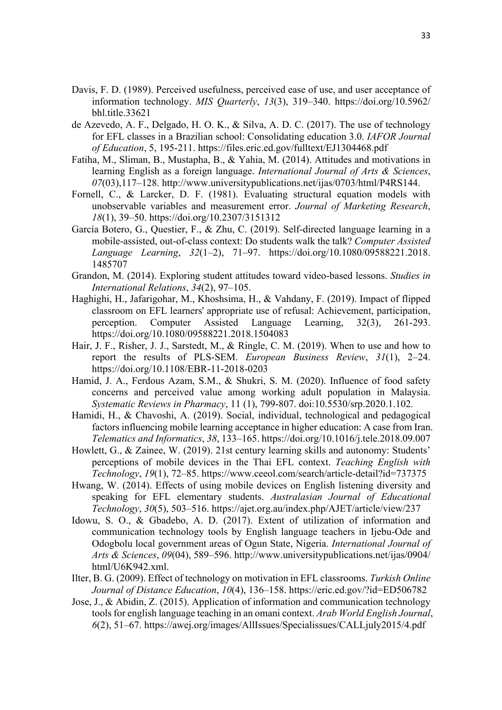- Davis, F. D. (1989). Perceived usefulness, perceived ease of use, and user acceptance of information technology. *MIS Quarterly*, *13*(3), 319–340. https://doi.org/10.5962/ bhl.title.33621
- de Azevedo, A. F., Delgado, H. O. K., & Silva, A. D. C. (2017). The use of technology for EFL classes in a Brazilian school: Consolidating education 3.0. *IAFOR Journal of Education*, 5, 195-211. https://files.eric.ed.gov/fulltext/EJ1304468.pdf
- Fatiha, M., Sliman, B., Mustapha, B., & Yahia, M. (2014). Attitudes and motivations in learning English as a foreign language. *International Journal of Arts & Sciences*, *07*(03),117–128. http://www.universitypublications.net/ijas/0703/html/P4RS144.
- Fornell, C., & Larcker, D. F. (1981). Evaluating structural equation models with unobservable variables and measurement error. *Journal of Marketing Research*, *18*(1), 39–50. https://doi.org/10.2307/3151312
- García Botero, G., Questier, F., & Zhu, C. (2019). Self-directed language learning in a mobile-assisted, out-of-class context: Do students walk the talk? *Computer Assisted Language Learning*, *32*(1–2), 71–97. https://doi.org/10.1080/09588221.2018. 1485707
- Grandon, M. (2014). Exploring student attitudes toward video-based lessons. *Studies in International Relations*, *34*(2), 97–105.
- Haghighi, H., Jafarigohar, M., Khoshsima, H., & Vahdany, F. (2019). Impact of flipped classroom on EFL learners' appropriate use of refusal: Achievement, participation, perception. Computer Assisted Language Learning, 32(3), 261-293. https://doi.org/10.1080/09588221.2018.1504083
- Hair, J. F., Risher, J. J., Sarstedt, M., & Ringle, C. M. (2019). When to use and how to report the results of PLS-SEM. *European Business Review*, *31*(1), 2–24. https://doi.org/10.1108/EBR-11-2018-0203
- Hamid, J. A., Ferdous Azam, S.M., & Shukri, S. M. (2020). Influence of food safety concerns and perceived value among working adult population in Malaysia. *Systematic Reviews in Pharmacy*, 11 (1), 799-807. doi:10.5530/srp.2020.1.102.
- Hamidi, H., & Chavoshi, A. (2019). Social, individual, technological and pedagogical factors influencing mobile learning acceptance in higher education: A case from Iran. *Telematics and Informatics*, *38*, 133–165. https://doi.org/10.1016/j.tele.2018.09.007
- Howlett, G., & Zainee, W. (2019). 21st century learning skills and autonomy: Students' perceptions of mobile devices in the Thai EFL context. *Teaching English with Technology*, *19*(1), 72–85. https://www.ceeol.com/search/article-detail?id=737375
- Hwang, W. (2014). Effects of using mobile devices on English listening diversity and speaking for EFL elementary students. *Australasian Journal of Educational Technology*, *30*(5), 503–516. https://ajet.org.au/index.php/AJET/article/view/237
- Idowu, S. O., & Gbadebo, A. D. (2017). Extent of utilization of information and communication technology tools by English language teachers in Ijebu-Ode and Odogbolu local government areas of Ogun State, Nigeria. *International Journal of Arts & Sciences*, *09*(04), 589–596. http://www.universitypublications.net/ijas/0904/ html/U6K942.xml.
- Ilter, B. G. (2009). Effect of technology on motivation in EFL classrooms. *Turkish Online Journal of Distance Education*, *10*(4), 136–158. https://eric.ed.gov/?id=ED506782
- Jose, J., & Abidin, Z. (2015). Application of information and communication technology tools for english language teaching in an omani context. *Arab World English Journal*, *6*(2), 51–67. https://awej.org/images/AllIssues/Specialissues/CALLjuly2015/4.pdf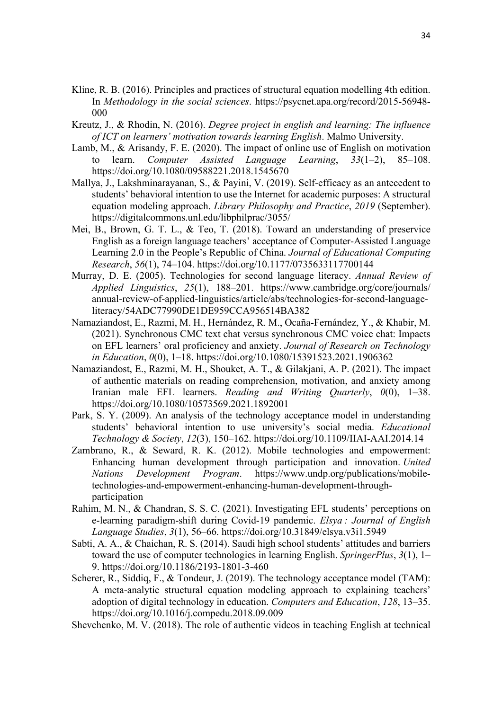- Kline, R. B. (2016). Principles and practices of structural equation modelling 4th edition. In *Methodology in the social sciences*. https://psycnet.apa.org/record/2015-56948- 000
- Kreutz, J., & Rhodin, N. (2016). *Degree project in english and learning: The influence of ICT on learners' motivation towards learning English*. Malmo University.
- Lamb, M., & Arisandy, F. E. (2020). The impact of online use of English on motivation to learn. *Computer Assisted Language Learning*, *33*(1–2), 85–108. https://doi.org/10.1080/09588221.2018.1545670
- Mallya, J., Lakshminarayanan, S., & Payini, V. (2019). Self-efficacy as an antecedent to students' behavioral intention to use the Internet for academic purposes: A structural equation modeling approach. *Library Philosophy and Practice*, *2019* (September). https://digitalcommons.unl.edu/libphilprac/3055/
- Mei, B., Brown, G. T. L., & Teo, T. (2018). Toward an understanding of preservice English as a foreign language teachers' acceptance of Computer-Assisted Language Learning 2.0 in the People's Republic of China. *Journal of Educational Computing Research*, *56*(1), 74–104. https://doi.org/10.1177/0735633117700144
- Murray, D. E. (2005). Technologies for second language literacy. *Annual Review of Applied Linguistics*, *25*(1), 188–201. https://www.cambridge.org/core/journals/ annual-review-of-applied-linguistics/article/abs/technologies-for-second-languageliteracy/54ADC77990DE1DE959CCA956514BA382
- Namaziandost, E., Razmi, M. H., Hernández, R. M., Ocaña-Fernández, Y., & Khabir, M. (2021). Synchronous CMC text chat versus synchronous CMC voice chat: Impacts on EFL learners' oral proficiency and anxiety. *Journal of Research on Technology in Education*, *0*(0), 1–18. https://doi.org/10.1080/15391523.2021.1906362
- Namaziandost, E., Razmi, M. H., Shouket, A. T., & Gilakjani, A. P. (2021). The impact of authentic materials on reading comprehension, motivation, and anxiety among Iranian male EFL learners. *Reading and Writing Quarterly*, *0*(0), 1–38. https://doi.org/10.1080/10573569.2021.1892001
- Park, S. Y. (2009). An analysis of the technology acceptance model in understanding students' behavioral intention to use university's social media. *Educational Technology & Society*, *12*(3), 150–162. https://doi.org/10.1109/IIAI-AAI.2014.14
- Zambrano, R., & Seward, R. K. (2012). Mobile technologies and empowerment: Enhancing human development through participation and innovation. *United Nations Development Program*. https://www.undp.org/publications/mobiletechnologies-and-empowerment-enhancing-human-development-throughparticipation
- Rahim, M. N., & Chandran, S. S. C. (2021). Investigating EFL students' perceptions on e-learning paradigm-shift during Covid-19 pandemic. *Elsya : Journal of English Language Studies*, *3*(1), 56–66. https://doi.org/10.31849/elsya.v3i1.5949
- Sabti, A. A., & Chaichan, R. S. (2014). Saudi high school students' attitudes and barriers toward the use of computer technologies in learning English. *SpringerPlus*, *3*(1), 1– 9. https://doi.org/10.1186/2193-1801-3-460
- Scherer, R., Siddiq, F., & Tondeur, J. (2019). The technology acceptance model (TAM): A meta-analytic structural equation modeling approach to explaining teachers' adoption of digital technology in education. *Computers and Education*, *128*, 13–35. https://doi.org/10.1016/j.compedu.2018.09.009
- Shevchenko, M. V. (2018). The role of authentic videos in teaching English at technical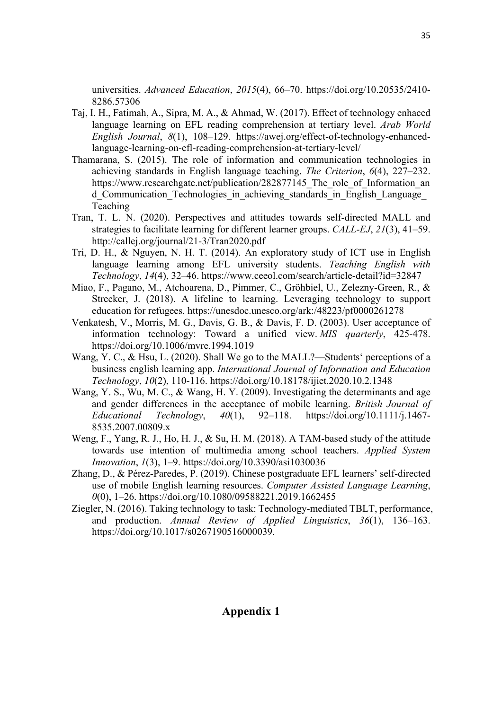universities. *Advanced Education*, *2015*(4), 66–70. https://doi.org/10.20535/2410- 8286.57306

- Taj, I. H., Fatimah, A., Sipra, M. A., & Ahmad, W. (2017). Effect of technology enhaced language learning on EFL reading comprehension at tertiary level. *Arab World English Journal*, *8*(1), 108–129. https://awej.org/effect-of-technology-enhancedlanguage-learning-on-efl-reading-comprehension-at-tertiary-level/
- Thamarana, S. (2015). The role of information and communication technologies in achieving standards in English language teaching. *The Criterion*, *6*(4), 227–232. https://www.researchgate.net/publication/282877145 The role of Information an d Communication Technologies in achieving standards in English Language Teaching
- Tran, T. L. N. (2020). Perspectives and attitudes towards self-directed MALL and strategies to facilitate learning for different learner groups. *CALL-EJ*, *21*(3), 41–59. http://callej.org/journal/21-3/Tran2020.pdf
- Tri, D. H., & Nguyen, N. H. T. (2014). An exploratory study of ICT use in English language learning among EFL university students. *Teaching English with Technology*, *14*(4), 32–46. https://www.ceeol.com/search/article-detail?id=32847
- Miao, F., Pagano, M., Atchoarena, D., Pimmer, C., Gröhbiel, U., Zelezny-Green, R., & Strecker, J. (2018). A lifeline to learning. Leveraging technology to support education for refugees. https://unesdoc.unesco.org/ark:/48223/pf0000261278
- Venkatesh, V., Morris, M. G., Davis, G. B., & Davis, F. D. (2003). User acceptance of information technology: Toward a unified view. *MIS quarterly*, 425-478. https://doi.org/10.1006/mvre.1994.1019
- Wang, Y. C., & Hsu, L. (2020). Shall We go to the MALL?—Students' perceptions of a business english learning app. *International Journal of Information and Education Technology*, *10*(2), 110-116. https://doi.org/10.18178/ijiet.2020.10.2.1348
- Wang, Y. S., Wu, M. C., & Wang, H. Y. (2009). Investigating the determinants and age and gender differences in the acceptance of mobile learning. *British Journal of Educational Technology*, *40*(1), 92–118. https://doi.org/10.1111/j.1467- 8535.2007.00809.x
- Weng, F., Yang, R. J., Ho, H. J., & Su, H. M. (2018). A TAM-based study of the attitude towards use intention of multimedia among school teachers. *Applied System Innovation*, *1*(3), 1–9. https://doi.org/10.3390/asi1030036
- Zhang, D., & Pérez-Paredes, P. (2019). Chinese postgraduate EFL learners' self-directed use of mobile English learning resources. *Computer Assisted Language Learning*, *0*(0), 1–26. https://doi.org/10.1080/09588221.2019.1662455
- Ziegler, N. (2016). Taking technology to task: Technology-mediated TBLT, performance, and production. *Annual Review of Applied Linguistics*, *36*(1), 136–163. https://doi.org/10.1017/s0267190516000039.

# **Appendix 1**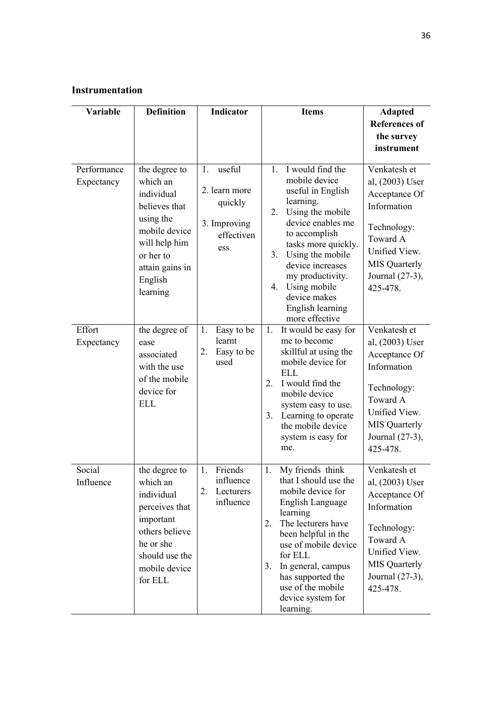# **Instrumentation**

| Variable                  | <b>Definition</b>                                                                                                                                              | Indicator                                                                     | <b>Items</b>                                                                                                                                                                                                                                                                                                | <b>Adapted</b>                                                                                                                                                     |
|---------------------------|----------------------------------------------------------------------------------------------------------------------------------------------------------------|-------------------------------------------------------------------------------|-------------------------------------------------------------------------------------------------------------------------------------------------------------------------------------------------------------------------------------------------------------------------------------------------------------|--------------------------------------------------------------------------------------------------------------------------------------------------------------------|
|                           |                                                                                                                                                                |                                                                               |                                                                                                                                                                                                                                                                                                             | <b>References of</b><br>the survey<br>instrument                                                                                                                   |
| Performance<br>Expectancy | the degree to<br>which an<br>individual<br>believes that<br>using the<br>mobile device<br>will help him<br>or her to<br>attain gains in<br>English<br>learning | useful<br>1.<br>2. learn more<br>quickly<br>3. Improving<br>effectiven<br>ess | 1. I would find the<br>mobile device<br>useful in English<br>learning.<br>Using the mobile<br>2.<br>device enables me<br>to accomplish<br>tasks more quickly.<br>Using the mobile<br>3.<br>device increases<br>my productivity.<br>Using mobile<br>4.<br>device makes<br>English learning<br>more effective | Venkatesh et<br>al, (2003) User<br>Acceptance Of<br>Information<br>Technology:<br>Toward A<br>Unified View.<br><b>MIS Quarterly</b><br>Journal (27-3),<br>425-478. |
| Effort<br>Expectancy      | the degree of<br>ease<br>associated<br>with the use<br>of the mobile<br>device for<br><b>ELL</b>                                                               | Easy to be<br>1.<br>learnt<br>Easy to be<br>2.<br>used                        | It would be easy for<br>1.<br>me to become<br>skillful at using the<br>mobile device for<br><b>ELL</b><br>I would find the<br>2.<br>mobile device<br>system easy to use.<br>Learning to operate<br>3.<br>the mobile device<br>system is easy for<br>me.                                                     | Venkatesh et<br>al, (2003) User<br>Acceptance Of<br>Information<br>Technology:<br>Toward A<br>Unified View.<br><b>MIS</b> Quarterly<br>Journal (27-3),<br>425-478. |
| Social<br>Influence       | the degree to<br>which an<br>individual<br>perceives that<br>important<br>others believe<br>he or she<br>should use the<br>mobile device<br>for ELL            | Friends<br>1.<br>influence<br>2.<br>Lecturers<br>influence                    | My friends think<br>1.<br>that I should use the<br>mobile device for<br>English Language<br>learning<br>The lecturers have<br>2.<br>been helpful in the<br>use of mobile device<br>for ELL<br>In general, campus<br>3.<br>has supported the<br>use of the mobile<br>device system for<br>learning.          | Venkatesh et<br>al, (2003) User<br>Acceptance Of<br>Information<br>Technology:<br>Toward A<br>Unified View.<br><b>MIS</b> Quarterly<br>Journal (27-3),<br>425-478. |